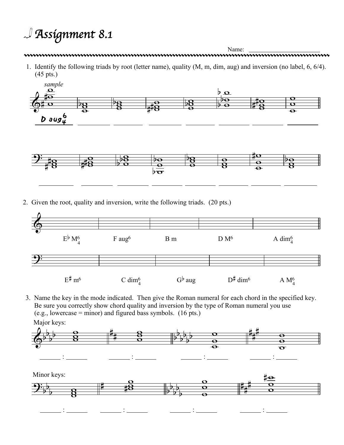## *Assignment 8.1*

 $\frac{1}{2}$ 



Name: Name: 2000 Name: 2000 Name: 2000 Name: 2000 Name: 2000 Name: 2000 Name: 2000 Name: 2000 Name: 2000 Name: 2000 Name: 2000 Name: 2000 Name: 2000 Name: 2000 Name: 2000 Name: 2000 Name: 2000 Name: 2000 Name: 2000 Name: 2

1. Identify the following triads by root (letter name), quality (M, m, dim, aug) and inversion (no label, 6, 6/4). (45 pts.)



2. Given the root, quality and inversion, write the following triads. (20 pts.)

:



3. Name the key in the mode indicated. Then give the Roman numeral for each chord in the specified key. Be sure you correctly show chord quality and inversion by the type of Roman numeral you use (e.g., lowercase = minor) and figured bass symbols.  $(16 \text{ pts.})$ Major keys:





:

<u>: 1989</u> :